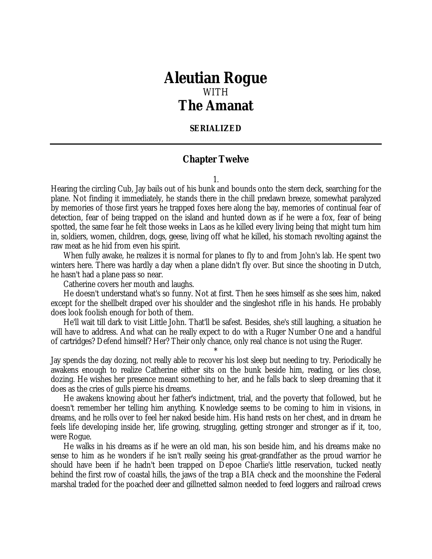## *Aleutian Rogue* WITH *The Amanat*

## **SERIALIZED**

## **Chapter Twelve**

1.

Hearing the circling Cub, Jay bails out of his bunk and bounds onto the stern deck, searching for the plane. Not finding it immediately, he stands there in the chill predawn breeze, somewhat paralyzed by memories of those first years he trapped foxes here along the bay, memories of continual fear of detection, fear of being trapped on the island and hunted down as if he were a fox, fear of being spotted, the same fear he felt those weeks in Laos as he killed every living being that might turn him in, soldiers, women, children, dogs, geese, living off what he killed, his stomach revolting against the raw meat as he hid from even his spirit.

When fully awake, he realizes it is normal for planes to fly to and from John's lab. He spent two winters here. There was hardly a day when a plane didn't fly over. But since the shooting in Dutch, he hasn't had a plane pass so near.

Catherine covers her mouth and laughs.

He doesn't understand what's so funny. Not at first. Then he sees himself as she sees him, naked except for the shellbelt draped over his shoulder and the singleshot rifle in his hands. He probably does look foolish enough for both of them.

He'll wait till dark to visit Little John. That'll be safest. Besides, she's still laughing, a situation he will have to address. And what can he really expect to do with a Ruger Number One and a handful of cartridges? Defend himself? Her? Their only chance, only real chance is not using the Ruger.

\*

Jay spends the day dozing, not really able to recover his lost sleep but needing to try. Periodically he awakens enough to realize Catherine either sits on the bunk beside him, reading, or lies close, dozing. He wishes her presence meant something to her, and he falls back to sleep dreaming that it does as the cries of gulls pierce his dreams.

He awakens knowing about her father's indictment, trial, and the poverty that followed, but he doesn't remember her telling him anything. Knowledge seems to be coming to him in visions, in dreams, and he rolls over to feel her naked beside him. His hand rests on her chest, and in dream he feels life developing inside her, life growing, struggling, getting stronger and stronger as if it, too, were Rogue.

He walks in his dreams as if he were an old man, his son beside him, and his dreams make no sense to him as he wonders if he isn't really seeing his great-grandfather as the proud warrior he should have been if he hadn't been trapped on Depoe Charlie's little reservation, tucked neatly behind the first row of coastal hills, the jaws of the trap a BIA check and the moonshine the Federal marshal traded for the poached deer and gillnetted salmon needed to feed loggers and railroad crews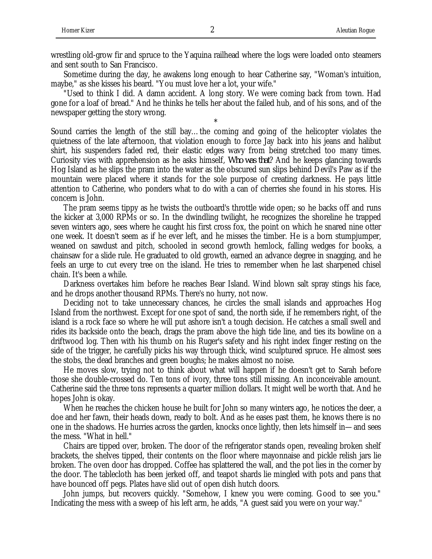wrestling old-grow fir and spruce to the Yaquina railhead where the logs were loaded onto steamers and sent south to San Francisco.

Sometime during the day, he awakens long enough to hear Catherine say, "Woman's intuition, maybe," as she kisses his beard. "You must love her a lot, your wife."

"Used to think I did. A damn accident. A long story. We were coming back from town. Had gone for a loaf of bread." And he thinks he tells her about the failed hub, and of his sons, and of the newspaper getting the story wrong.

\*

Sound carries the length of the still bay…the coming and going of the helicopter violates the quietness of the late afternoon, that violation enough to force Jay back into his jeans and halibut shirt, his suspenders faded red, their elastic edges wavy from being stretched too many times. Curiosity vies with apprehension as he asks himself, *Who was that*? And he keeps glancing towards Hog Island as he slips the pram into the water as the obscured sun slips behind Devil's Paw as if the mountain were placed where it stands for the sole purpose of creating darkness. He pays little attention to Catherine, who ponders what to do with a can of cherries she found in his stores. His concern is John.

The pram seems tippy as he twists the outboard's throttle wide open; so he backs off and runs the kicker at 3,000 RPMs or so. In the dwindling twilight, he recognizes the shoreline he trapped seven winters ago, sees where he caught his first cross fox, the point on which he snared nine otter one week. It doesn't seem as if he ever left, and he misses the timber. He is a born stumpjumper, weaned on sawdust and pitch, schooled in second growth hemlock, falling wedges for books, a chainsaw for a slide rule. He graduated to old growth, earned an advance degree in snagging, and he feels an urge to cut every tree on the island. He tries to remember when he last sharpened chisel chain. It's been a while.

Darkness overtakes him before he reaches Bear Island. Wind blown salt spray stings his face, and he drops another thousand RPMs. There's no hurry, not now.

Deciding not to take unnecessary chances, he circles the small islands and approaches Hog Island from the northwest. Except for one spot of sand, the north side, if he remembers right, of the island is a rock face so where he will put ashore isn't a tough decision. He catches a small swell and rides its backside onto the beach, drags the pram above the high tide line, and ties its bowline on a driftwood log. Then with his thumb on his Ruger's safety and his right index finger resting on the side of the trigger, he carefully picks his way through thick, wind sculptured spruce. He almost sees the stobs, the dead branches and green boughs; he makes almost no noise.

He moves slow, trying not to think about what will happen if he doesn't get to Sarah before those she double-crossed do. Ten tons of ivory, three tons still missing. An inconceivable amount. Catherine said the three tons represents a quarter million dollars. It might well be worth that. And he hopes John is okay.

When he reaches the chicken house he built for John so many winters ago, he notices the deer, a doe and her fawn, their heads down, ready to bolt. And as he eases past them, he knows there is no one in the shadows. He hurries across the garden, knocks once lightly, then lets himself in—and sees the mess. "What in hell."

Chairs are tipped over, broken. The door of the refrigerator stands open, revealing broken shelf brackets, the shelves tipped, their contents on the floor where mayonnaise and pickle relish jars lie broken. The oven door has dropped. Coffee has splattered the wall, and the pot lies in the corner by the door. The tablecloth has been jerked off, and teapot shards lie mingled with pots and pans that have bounced off pegs. Plates have slid out of open dish hutch doors.

John jumps, but recovers quickly. "Somehow, I knew you were coming. Good to see you." Indicating the mess with a sweep of his left arm, he adds, "A guest said you were on your way."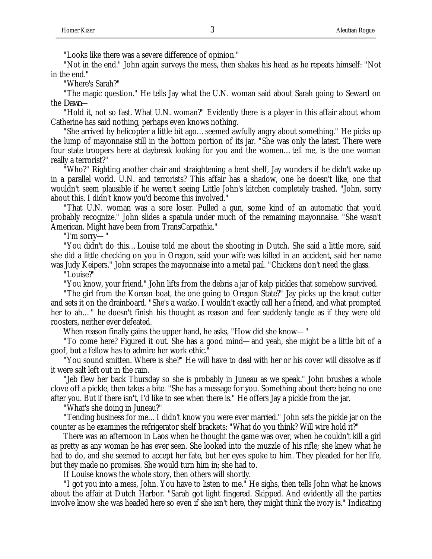"Looks like there was a severe difference of opinion."

"Not in the end." John again surveys the mess, then shakes his head as he repeats himself: "Not in the end."

"Where's Sarah?"

"The magic question." He tells Jay what the U.N. woman said about Sarah going to Seward on the *Dawn*—

"Hold it, not so fast. What U.N. woman?" Evidently there is a player in this affair about whom Catherine has said nothing, perhaps even knows nothing.

"She arrived by helicopter a little bit ago…seemed awfully angry about something." He picks up the lump of mayonnaise still in the bottom portion of its jar. "She was only the latest. There were four state troopers here at daybreak looking for you and the women…tell me, is the one woman really a terrorist?"

"Who?" Righting another chair and straightening a bent shelf, Jay wonders if he didn't wake up in a parallel world. U.N. and terrorists? This affair has a shadow, one he doesn't like, one that wouldn't seem plausible if he weren't seeing Little John's kitchen completely trashed. "John, sorry about this. I didn't know you'd become this involved."

"That U.N. woman was a sore loser. Pulled a gun, some kind of an automatic that you'd probably recognize." John slides a spatula under much of the remaining mayonnaise. "She wasn't American. Might have been from TransCarpathia."

"I'm sorry—"

"You didn't do this…Louise told me about the shooting in Dutch. She said a little more, said she did a little checking on you in Oregon, said your wife was killed in an accident, said her name was Judy Keipers." John scrapes the mayonnaise into a metal pail. "Chickens don't need the glass.

"Louise?"

"You know, your friend." John lifts from the debris a jar of kelp pickles that somehow survived.

"The girl from the Korean boat, the one going to Oregon State?" Jay picks up the kraut cutter and sets it on the drainboard. "She's a wacko. I wouldn't exactly call her a friend, and what prompted her to ah..." he doesn't finish his thought as reason and fear suddenly tangle as if they were old roosters, neither ever defeated.

When reason finally gains the upper hand, he asks, "How did she know—"

"To come here? Figured it out. She has a good mind—and yeah, she might be a little bit of a goof, but a fellow has to admire her work ethic."

"You sound smitten. Where is she?" He will have to deal with her or his cover will dissolve as if it were salt left out in the rain.

"Jeb flew her back Thursday so she is probably in Juneau as we speak." John brushes a whole clove off a pickle, then takes a bite. "She has a message for you. Something about there being no one after you. But if there isn't, I'd like to see when there is." He offers Jay a pickle from the jar.

"What's she doing in Juneau?"

"Tending business for me…I didn't know you were ever married." John sets the pickle jar on the counter as he examines the refrigerator shelf brackets: "What do you think? Will wire hold it?"

There was an afternoon in Laos when he thought the game was over, when he couldn't kill a girl as pretty as any woman he has ever seen. She looked into the muzzle of his rifle; she knew what he had to do, and she seemed to accept her fate, but her eyes spoke to him. They pleaded for her life, but they made no promises. She would turn him in; she had to.

If Louise knows the whole story, then others will shortly.

"I got you into a mess, John. You have to listen to me." He sighs, then tells John what he knows about the affair at Dutch Harbor. "Sarah got light fingered. Skipped. And evidently all the parties involve know she was headed here so even if she isn't here, they might think the ivory is." Indicating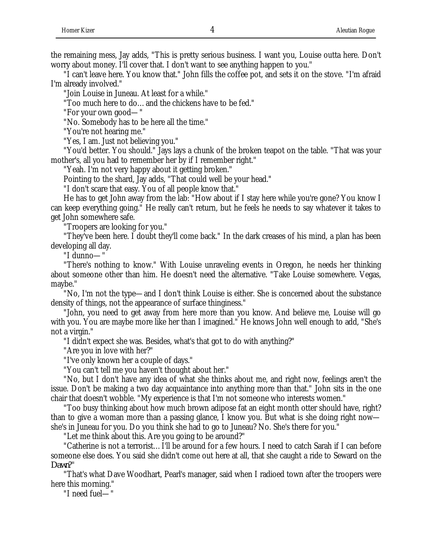the remaining mess, Jay adds, "This is pretty serious business. I want you, Louise outta here. Don't worry about money. I'll cover that. I don't want to see anything happen to you."

"I can't leave here. You know that." John fills the coffee pot, and sets it on the stove. "I'm afraid I'm already involved."

"Join Louise in Juneau. At least for a while."

"Too much here to do…and the chickens have to be fed."

"For your own good—"

"No. Somebody has to be here all the time."

"You're not hearing me."

"Yes, I am. Just not believing you."

"You'd better. You should." Jays lays a chunk of the broken teapot on the table. "That was your mother's, all you had to remember her by if I remember right."

"Yeah. I'm not very happy about it getting broken."

Pointing to the shard, Jay adds, "That could well be your head."

"I don't scare that easy. You of all people know that."

He has to get John away from the lab: "How about if I stay here while you're gone? You know I can keep everything going." He really can't return, but he feels he needs to say whatever it takes to get John somewhere safe.

"Troopers are looking for you."

"They've been here. I doubt they'll come back." In the dark creases of his mind, a plan has been developing all day.

"I dunno—"

"There's nothing to know." With Louise unraveling events in Oregon, he needs her thinking about someone other than him. He doesn't need the alternative. "Take Louise somewhere. Vegas, maybe."

"No, I'm not the type—and I don't think Louise is either. She is concerned about the substance density of things, not the appearance of surface thinginess."

"John, you need to get away from here more than you know. And believe me, Louise will go with you. You are maybe more like her than I imagined." He knows John well enough to add, "She's not a virgin."

"I didn't expect she was. Besides, what's that got to do with anything?"

"Are you in love with her?"

"I've only known her a couple of days."

"You can't tell me you haven't thought about her."

"No, but I don't have any idea of what she thinks about me, and right now, feelings aren't the issue. Don't be making a two day acquaintance into anything more than that." John sits in the one chair that doesn't wobble. "My experience is that I'm not someone who interests women."

"Too busy thinking about how much brown adipose fat an eight month otter should have, right? than to give a woman more than a passing glance, I know you. But what is she doing right now she's in Juneau for you. Do you think she had to go to Juneau? No. She's there for you."

"Let me think about this. Are you going to be around?"

"Catherine is not a terrorist…I'll be around for a few hours. I need to catch Sarah if I can before someone else does. You said she didn't come out here at all, that she caught a ride to Seward on the *Dawn*?"

"That's what Dave Woodhart, Pearl's manager, said when I radioed town after the troopers were here this morning."

"I need fuel—"